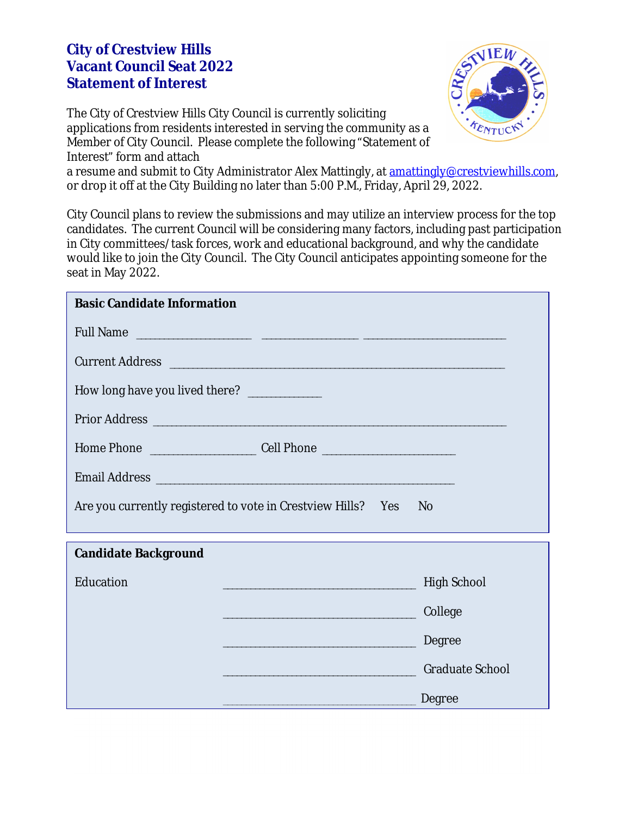## **City of Crestview Hills Vacant Council Seat 2022 Statement of Interest**

The City of Crestview Hills City Council is currently soliciting applications from residents interested in serving the community as a Member of City Council. Please complete the following "Statement of Interest" form and attach



a resume and submit to City Administrator Alex Mattingly, at [amattingly@crestviewhills.com](mailto:amattingly@crestviewhills.com), or drop it off at the City Building no later than 5:00 P.M., Friday, April 29, 2022.

City Council plans to review the submissions and may utilize an interview process for the top candidates. The current Council will be considering many factors, including past participation in City committees/task forces, work and educational background, and why the candidate would like to join the City Council. The City Council anticipates appointing someone for the seat in May 2022.

| <b>Basic Candidate Information</b>           |                                                              |                        |
|----------------------------------------------|--------------------------------------------------------------|------------------------|
|                                              |                                                              |                        |
| Current Address                              |                                                              |                        |
| How long have you lived there? _____________ |                                                              |                        |
|                                              | Prior Address                                                |                        |
|                                              |                                                              |                        |
| Email Address                                |                                                              |                        |
|                                              | Are you currently registered to vote in Crestview Hills? Yes | N <sub>o</sub>         |
|                                              |                                                              |                        |
| <b>Candidate Background</b>                  |                                                              |                        |
| Education                                    |                                                              | <b>High School</b>     |
|                                              |                                                              | College                |
|                                              |                                                              | Degree                 |
|                                              |                                                              | <b>Graduate School</b> |
|                                              |                                                              | Degree                 |